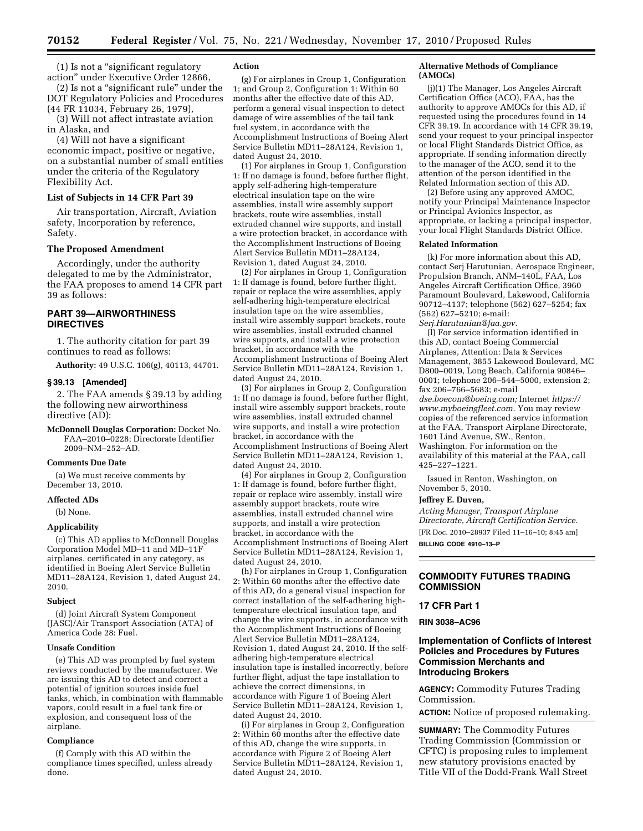(1) Is not a ''significant regulatory action'' under Executive Order 12866,

(2) Is not a ''significant rule'' under the DOT Regulatory Policies and Procedures (44 FR 11034, February 26, 1979),

(3) Will not affect intrastate aviation in Alaska, and

(4) Will not have a significant economic impact, positive or negative, on a substantial number of small entities under the criteria of the Regulatory Flexibility Act.

#### **List of Subjects in 14 CFR Part 39**

Air transportation, Aircraft, Aviation safety, Incorporation by reference, Safety.

#### **The Proposed Amendment**

Accordingly, under the authority delegated to me by the Administrator, the FAA proposes to amend 14 CFR part 39 as follows:

## **PART 39—AIRWORTHINESS DIRECTIVES**

1. The authority citation for part 39 continues to read as follows:

**Authority:** 49 U.S.C. 106(g), 40113, 44701.

#### **§ 39.13 [Amended]**

2. The FAA amends § 39.13 by adding the following new airworthiness directive (AD):

**McDonnell Douglas Corporation:** Docket No. FAA–2010–0228; Directorate Identifier 2009–NM–252–AD.

## **Comments Due Date**

(a) We must receive comments by December 13, 2010.

#### **Affected ADs**

(b) None.

#### **Applicability**

(c) This AD applies to McDonnell Douglas Corporation Model MD–11 and MD–11F airplanes, certificated in any category, as identified in Boeing Alert Service Bulletin MD11–28A124, Revision 1, dated August 24, 2010.

#### **Subject**

(d) Joint Aircraft System Component (JASC)/Air Transport Association (ATA) of America Code 28: Fuel.

#### **Unsafe Condition**

(e) This AD was prompted by fuel system reviews conducted by the manufacturer. We are issuing this AD to detect and correct a potential of ignition sources inside fuel tanks, which, in combination with flammable vapors, could result in a fuel tank fire or explosion, and consequent loss of the airplane.

#### **Compliance**

(f) Comply with this AD within the compliance times specified, unless already done.

#### **Action**

(g) For airplanes in Group 1, Configuration 1; and Group 2, Configuration 1: Within 60 months after the effective date of this AD, perform a general visual inspection to detect damage of wire assemblies of the tail tank fuel system, in accordance with the Accomplishment Instructions of Boeing Alert Service Bulletin MD11–28A124, Revision 1, dated August 24, 2010.

(1) For airplanes in Group 1, Configuration 1: If no damage is found, before further flight, apply self-adhering high-temperature electrical insulation tape on the wire assemblies, install wire assembly support brackets, route wire assemblies, install extruded channel wire supports, and install a wire protection bracket, in accordance with the Accomplishment Instructions of Boeing Alert Service Bulletin MD11–28A124, Revision 1, dated August 24, 2010.

(2) For airplanes in Group 1, Configuration 1: If damage is found, before further flight, repair or replace the wire assemblies, apply self-adhering high-temperature electrical insulation tape on the wire assemblies, install wire assembly support brackets, route wire assemblies, install extruded channel wire supports, and install a wire protection bracket, in accordance with the Accomplishment Instructions of Boeing Alert Service Bulletin MD11–28A124, Revision 1, dated August 24, 2010.

(3) For airplanes in Group 2, Configuration 1: If no damage is found, before further flight, install wire assembly support brackets, route wire assemblies, install extruded channel wire supports, and install a wire protection bracket, in accordance with the Accomplishment Instructions of Boeing Alert Service Bulletin MD11–28A124, Revision 1, dated August 24, 2010.

(4) For airplanes in Group 2, Configuration 1: If damage is found, before further flight, repair or replace wire assembly, install wire assembly support brackets, route wire assemblies, install extruded channel wire supports, and install a wire protection bracket, in accordance with the Accomplishment Instructions of Boeing Alert Service Bulletin MD11–28A124, Revision 1, dated August 24, 2010.

(h) For airplanes in Group 1, Configuration 2: Within 60 months after the effective date of this AD, do a general visual inspection for correct installation of the self-adhering hightemperature electrical insulation tape, and change the wire supports, in accordance with the Accomplishment Instructions of Boeing Alert Service Bulletin MD11–28A124, Revision 1, dated August 24, 2010. If the selfadhering high-temperature electrical insulation tape is installed incorrectly, before further flight, adjust the tape installation to achieve the correct dimensions, in accordance with Figure 1 of Boeing Alert Service Bulletin MD11–28A124, Revision 1, dated August 24, 2010.

(i) For airplanes in Group 2, Configuration 2: Within 60 months after the effective date of this AD, change the wire supports, in accordance with Figure 2 of Boeing Alert Service Bulletin MD11–28A124, Revision 1, dated August 24, 2010.

#### **Alternative Methods of Compliance (AMOCs)**

(j)(1) The Manager, Los Angeles Aircraft Certification Office (ACO), FAA, has the authority to approve AMOCs for this AD, if requested using the procedures found in 14 CFR 39.19. In accordance with 14 CFR 39.19, send your request to your principal inspector or local Flight Standards District Office, as appropriate. If sending information directly to the manager of the ACO, send it to the attention of the person identified in the Related Information section of this AD.

(2) Before using any approved AMOC, notify your Principal Maintenance Inspector or Principal Avionics Inspector, as appropriate, or lacking a principal inspector, your local Flight Standards District Office.

#### **Related Information**

(k) For more information about this AD, contact Serj Harutunian, Aerospace Engineer, Propulsion Branch, ANM–140L, FAA, Los Angeles Aircraft Certification Office, 3960 Paramount Boulevard, Lakewood, California 90712–4137; telephone (562) 627–5254; fax (562) 627–5210; e-mail: *[Serj.Harutunian@faa.gov.](mailto:Serj.Harutunian@faa.gov)* 

(l) For service information identified in

this AD, contact Boeing Commercial Airplanes, Attention: Data & Services Management, 3855 Lakewood Boulevard, MC D800–0019, Long Beach, California 90846– 0001; telephone 206–544–5000, extension 2; fax 206–766–5683; e-mail

*[dse.boecom@boeing.com;](mailto:dse.boecom@boeing.com)* Internet *[https://](https://www.myboeingfleet.com)  [www.myboeingfleet.com.](https://www.myboeingfleet.com)* You may review copies of the referenced service information at the FAA, Transport Airplane Directorate, 1601 Lind Avenue, SW., Renton, Washington. For information on the availability of this material at the FAA, call 425–227–1221.

Issued in Renton, Washington, on November 5, 2010.

## **Jeffrey E. Duven,**

*Acting Manager, Transport Airplane Directorate, Aircraft Certification Service.*  [FR Doc. 2010–28937 Filed 11–16–10; 8:45 am]

**BILLING CODE 4910–13–P** 

## **COMMODITY FUTURES TRADING COMMISSION**

#### **17 CFR Part 1**

**RIN 3038–AC96** 

## **Implementation of Conflicts of Interest Policies and Procedures by Futures Commission Merchants and Introducing Brokers**

**AGENCY:** Commodity Futures Trading Commission.

**ACTION:** Notice of proposed rulemaking.

**SUMMARY:** The Commodity Futures Trading Commission (Commission or CFTC) is proposing rules to implement new statutory provisions enacted by Title VII of the Dodd-Frank Wall Street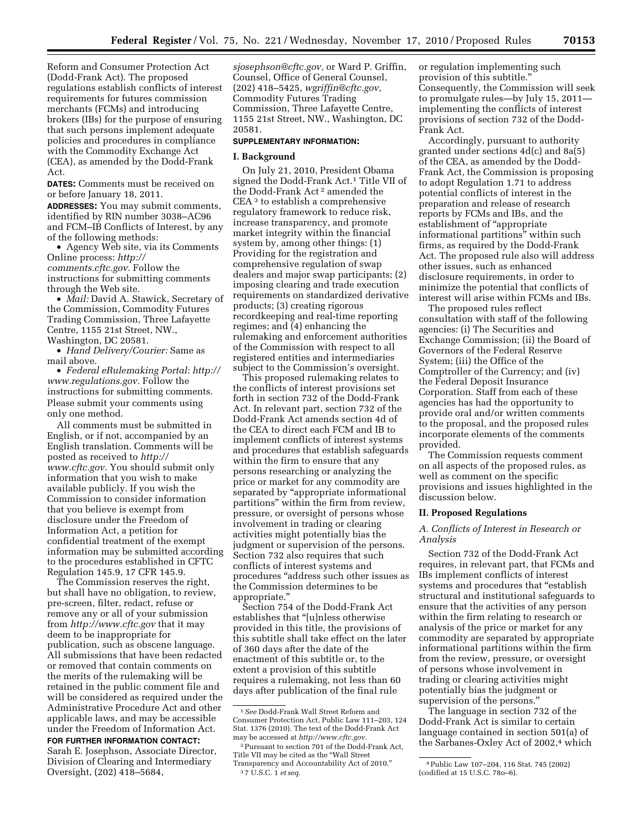Reform and Consumer Protection Act (Dodd-Frank Act). The proposed regulations establish conflicts of interest requirements for futures commission merchants (FCMs) and introducing brokers (IBs) for the purpose of ensuring that such persons implement adequate policies and procedures in compliance with the Commodity Exchange Act (CEA), as amended by the Dodd-Frank Act.

**DATES:** Comments must be received on or before January 18, 2011.

**ADDRESSES:** You may submit comments, identified by RIN number 3038–AC96 and FCM–IB Conflicts of Interest, by any of the following methods:

• Agency Web site, via its Comments Online process: *[http://](http://comments.cftc.gov) [comments.cftc.gov.](http://comments.cftc.gov)* Follow the instructions for submitting comments through the Web site.

• *Mail:* David A. Stawick, Secretary of the Commission, Commodity Futures Trading Commission, Three Lafayette Centre, 1155 21st Street, NW., Washington, DC 20581.

• *Hand Delivery/Courier:* Same as mail above.

• *Federal eRulemaking Portal: [http://](http://www.regulations.gov)  [www.regulations.gov.](http://www.regulations.gov)* Follow the instructions for submitting comments. Please submit your comments using only one method.

All comments must be submitted in English, or if not, accompanied by an English translation. Comments will be posted as received to *[http://](http://www.cftc.gov) [www.cftc.gov.](http://www.cftc.gov)* You should submit only information that you wish to make available publicly. If you wish the Commission to consider information that you believe is exempt from disclosure under the Freedom of Information Act, a petition for confidential treatment of the exempt information may be submitted according to the procedures established in CFTC Regulation 145.9, 17 CFR 145.9.

The Commission reserves the right, but shall have no obligation, to review, pre-screen, filter, redact, refuse or remove any or all of your submission from *<http://www.cftc.gov>* that it may deem to be inappropriate for publication, such as obscene language. All submissions that have been redacted or removed that contain comments on the merits of the rulemaking will be retained in the public comment file and will be considered as required under the Administrative Procedure Act and other applicable laws, and may be accessible under the Freedom of Information Act.

**FOR FURTHER INFORMATION CONTACT:** 

Sarah E. Josephson, Associate Director, Division of Clearing and Intermediary Oversight, (202) 418–5684,

*[sjosephson@cftc.gov,](mailto:sjosephson@cftc.gov)* or Ward P. Griffin, Counsel, Office of General Counsel, (202) 418–5425, *[wgriffin@cftc.gov,](mailto:wgriffin@cftc.gov)*  Commodity Futures Trading Commission, Three Lafayette Centre, 1155 21st Street, NW., Washington, DC 20581.

## **SUPPLEMENTARY INFORMATION:**

#### **I. Background**

On July 21, 2010, President Obama signed the Dodd-Frank Act.1 Title VII of the Dodd-Frank Act 2 amended the CEA 3 to establish a comprehensive regulatory framework to reduce risk, increase transparency, and promote market integrity within the financial system by, among other things: (1) Providing for the registration and comprehensive regulation of swap dealers and major swap participants; (2) imposing clearing and trade execution requirements on standardized derivative products; (3) creating rigorous recordkeeping and real-time reporting regimes; and (4) enhancing the rulemaking and enforcement authorities of the Commission with respect to all registered entities and intermediaries subject to the Commission's oversight.

This proposed rulemaking relates to the conflicts of interest provisions set forth in section 732 of the Dodd-Frank Act. In relevant part, section 732 of the Dodd-Frank Act amends section 4d of the CEA to direct each FCM and IB to implement conflicts of interest systems and procedures that establish safeguards within the firm to ensure that any persons researching or analyzing the price or market for any commodity are separated by ''appropriate informational partitions'' within the firm from review, pressure, or oversight of persons whose involvement in trading or clearing activities might potentially bias the judgment or supervision of the persons. Section 732 also requires that such conflicts of interest systems and procedures ''address such other issues as the Commission determines to be appropriate.''

Section 754 of the Dodd-Frank Act establishes that ''[u]nless otherwise provided in this title, the provisions of this subtitle shall take effect on the later of 360 days after the date of the enactment of this subtitle or, to the extent a provision of this subtitle requires a rulemaking, not less than 60 days after publication of the final rule

or regulation implementing such provision of this subtitle.'' Consequently, the Commission will seek to promulgate rules—by July 15, 2011 implementing the conflicts of interest provisions of section 732 of the Dodd-Frank Act.

Accordingly, pursuant to authority granted under sections 4d(c) and 8a(5) of the CEA, as amended by the Dodd-Frank Act, the Commission is proposing to adopt Regulation 1.71 to address potential conflicts of interest in the preparation and release of research reports by FCMs and IBs, and the establishment of ''appropriate informational partitions'' within such firms, as required by the Dodd-Frank Act. The proposed rule also will address other issues, such as enhanced disclosure requirements, in order to minimize the potential that conflicts of interest will arise within FCMs and IBs.

The proposed rules reflect consultation with staff of the following agencies: (i) The Securities and Exchange Commission; (ii) the Board of Governors of the Federal Reserve System; (iii) the Office of the Comptroller of the Currency; and (iv) the Federal Deposit Insurance Corporation. Staff from each of these agencies has had the opportunity to provide oral and/or written comments to the proposal, and the proposed rules incorporate elements of the comments provided.

The Commission requests comment on all aspects of the proposed rules, as well as comment on the specific provisions and issues highlighted in the discussion below.

## **II. Proposed Regulations**

## *A. Conflicts of Interest in Research or Analysis*

Section 732 of the Dodd-Frank Act requires, in relevant part, that FCMs and IBs implement conflicts of interest systems and procedures that "establish structural and institutional safeguards to ensure that the activities of any person within the firm relating to research or analysis of the price or market for any commodity are separated by appropriate informational partitions within the firm from the review, pressure, or oversight of persons whose involvement in trading or clearing activities might potentially bias the judgment or supervision of the persons.''

The language in section 732 of the Dodd-Frank Act is similar to certain language contained in section 501(a) of the Sarbanes-Oxley Act of 2002,<sup>4</sup> which

<sup>1</sup>*See* Dodd-Frank Wall Street Reform and Consumer Protection Act, Public Law 111–203, 124 Stat. 1376 (2010). The text of the Dodd-Frank Act may be accessed at *[http://www.cftc.gov.](http://www.cftc.gov)* 

<sup>2</sup>Pursuant to section 701 of the Dodd-Frank Act, Title VII may be cited as the ''Wall Street Transparency and Accountability Act of 2010.'' 3 7 U.S.C. 1 *et seq.* 

<sup>4</sup>Public Law 107–204, 116 Stat. 745 (2002) (codified at 15 U.S.C. 78o–6).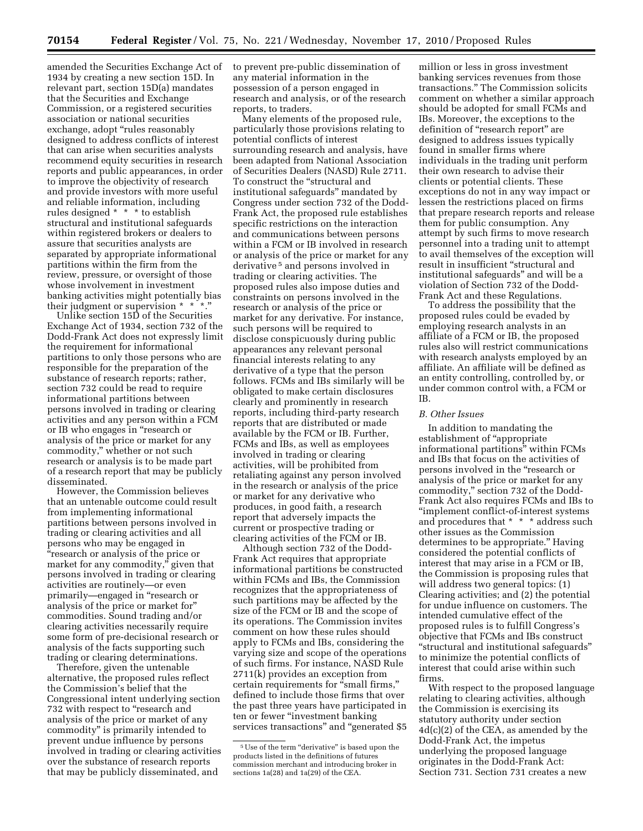amended the Securities Exchange Act of 1934 by creating a new section 15D. In relevant part, section 15D(a) mandates that the Securities and Exchange Commission, or a registered securities association or national securities exchange, adopt "rules reasonably designed to address conflicts of interest that can arise when securities analysts recommend equity securities in research reports and public appearances, in order to improve the objectivity of research and provide investors with more useful and reliable information, including rules designed \* \* \* to establish structural and institutional safeguards within registered brokers or dealers to assure that securities analysts are separated by appropriate informational partitions within the firm from the review, pressure, or oversight of those whose involvement in investment banking activities might potentially bias their judgment or supervision \* \* \*.''

Unlike section 15D of the Securities Exchange Act of 1934, section 732 of the Dodd-Frank Act does not expressly limit the requirement for informational partitions to only those persons who are responsible for the preparation of the substance of research reports; rather, section 732 could be read to require informational partitions between persons involved in trading or clearing activities and any person within a FCM or IB who engages in ''research or analysis of the price or market for any commodity,'' whether or not such research or analysis is to be made part of a research report that may be publicly disseminated.

However, the Commission believes that an untenable outcome could result from implementing informational partitions between persons involved in trading or clearing activities and all persons who may be engaged in ''research or analysis of the price or market for any commodity," given that persons involved in trading or clearing activities are routinely—or even primarily—engaged in ''research or analysis of the price or market for'' commodities. Sound trading and/or clearing activities necessarily require some form of pre-decisional research or analysis of the facts supporting such trading or clearing determinations.

Therefore, given the untenable alternative, the proposed rules reflect the Commission's belief that the Congressional intent underlying section 732 with respect to "research and analysis of the price or market of any commodity'' is primarily intended to prevent undue influence by persons involved in trading or clearing activities over the substance of research reports that may be publicly disseminated, and

to prevent pre-public dissemination of any material information in the possession of a person engaged in research and analysis, or of the research reports, to traders.

Many elements of the proposed rule, particularly those provisions relating to potential conflicts of interest surrounding research and analysis, have been adapted from National Association of Securities Dealers (NASD) Rule 2711. To construct the ''structural and institutional safeguards'' mandated by Congress under section 732 of the Dodd-Frank Act, the proposed rule establishes specific restrictions on the interaction and communications between persons within a FCM or IB involved in research or analysis of the price or market for any derivative 5 and persons involved in trading or clearing activities. The proposed rules also impose duties and constraints on persons involved in the research or analysis of the price or market for any derivative. For instance, such persons will be required to disclose conspicuously during public appearances any relevant personal financial interests relating to any derivative of a type that the person follows. FCMs and IBs similarly will be obligated to make certain disclosures clearly and prominently in research reports, including third-party research reports that are distributed or made available by the FCM or IB. Further, FCMs and IBs, as well as employees involved in trading or clearing activities, will be prohibited from retaliating against any person involved in the research or analysis of the price or market for any derivative who produces, in good faith, a research report that adversely impacts the current or prospective trading or clearing activities of the FCM or IB.

Although section 732 of the Dodd-Frank Act requires that appropriate informational partitions be constructed within FCMs and IBs, the Commission recognizes that the appropriateness of such partitions may be affected by the size of the FCM or IB and the scope of its operations. The Commission invites comment on how these rules should apply to FCMs and IBs, considering the varying size and scope of the operations of such firms. For instance, NASD Rule 2711(k) provides an exception from certain requirements for "small firms," defined to include those firms that over the past three years have participated in ten or fewer ''investment banking services transactions" and "generated \$5

million or less in gross investment banking services revenues from those transactions.'' The Commission solicits comment on whether a similar approach should be adopted for small FCMs and IBs. Moreover, the exceptions to the definition of "research report" are designed to address issues typically found in smaller firms where individuals in the trading unit perform their own research to advise their clients or potential clients. These exceptions do not in any way impact or lessen the restrictions placed on firms that prepare research reports and release them for public consumption. Any attempt by such firms to move research personnel into a trading unit to attempt to avail themselves of the exception will result in insufficient ''structural and institutional safeguards'' and will be a violation of Section 732 of the Dodd-Frank Act and these Regulations.

To address the possibility that the proposed rules could be evaded by employing research analysts in an affiliate of a FCM or IB, the proposed rules also will restrict communications with research analysts employed by an affiliate. An affiliate will be defined as an entity controlling, controlled by, or under common control with, a FCM or IB.

#### *B. Other Issues*

In addition to mandating the establishment of "appropriate informational partitions'' within FCMs and IBs that focus on the activities of persons involved in the ''research or analysis of the price or market for any commodity,'' section 732 of the Dodd-Frank Act also requires FCMs and IBs to ''implement conflict-of-interest systems and procedures that \* \* \* address such other issues as the Commission determines to be appropriate.'' Having considered the potential conflicts of interest that may arise in a FCM or IB, the Commission is proposing rules that will address two general topics: (1) Clearing activities; and (2) the potential for undue influence on customers. The intended cumulative effect of the proposed rules is to fulfill Congress's objective that FCMs and IBs construct ''structural and institutional safeguards'' to minimize the potential conflicts of interest that could arise within such firms.

With respect to the proposed language relating to clearing activities, although the Commission is exercising its statutory authority under section 4d(c)(2) of the CEA, as amended by the Dodd-Frank Act, the impetus underlying the proposed language originates in the Dodd-Frank Act: Section 731. Section 731 creates a new

<sup>5</sup>Use of the term ''derivative'' is based upon the products listed in the definitions of futures commission merchant and introducing broker in sections 1a(28) and 1a(29) of the CEA.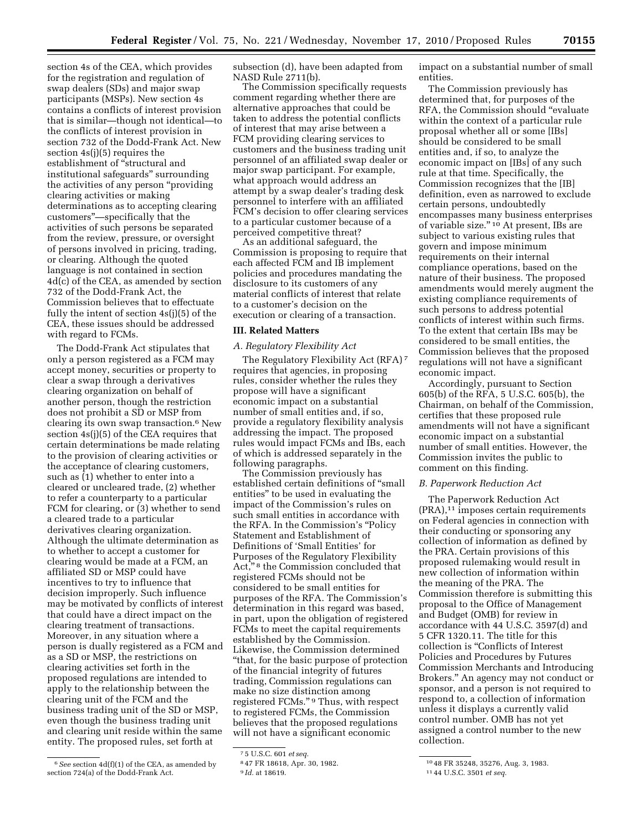section 4s of the CEA, which provides for the registration and regulation of swap dealers (SDs) and major swap participants (MSPs). New section 4s contains a conflicts of interest provision that is similar—though not identical—to the conflicts of interest provision in section 732 of the Dodd-Frank Act. New section 4s(j)(5) requires the establishment of "structural and institutional safeguards'' surrounding the activities of any person ''providing clearing activities or making determinations as to accepting clearing customers''—specifically that the activities of such persons be separated from the review, pressure, or oversight of persons involved in pricing, trading, or clearing. Although the quoted language is not contained in section 4d(c) of the CEA, as amended by section 732 of the Dodd-Frank Act, the Commission believes that to effectuate fully the intent of section 4s(j)(5) of the CEA, these issues should be addressed with regard to FCMs.

The Dodd-Frank Act stipulates that only a person registered as a FCM may accept money, securities or property to clear a swap through a derivatives clearing organization on behalf of another person, though the restriction does not prohibit a SD or MSP from clearing its own swap transaction.6 New section 4s(j)(5) of the CEA requires that certain determinations be made relating to the provision of clearing activities or the acceptance of clearing customers, such as (1) whether to enter into a cleared or uncleared trade, (2) whether to refer a counterparty to a particular FCM for clearing, or (3) whether to send a cleared trade to a particular derivatives clearing organization. Although the ultimate determination as to whether to accept a customer for clearing would be made at a FCM, an affiliated SD or MSP could have incentives to try to influence that decision improperly. Such influence may be motivated by conflicts of interest that could have a direct impact on the clearing treatment of transactions. Moreover, in any situation where a person is dually registered as a FCM and as a SD or MSP, the restrictions on clearing activities set forth in the proposed regulations are intended to apply to the relationship between the clearing unit of the FCM and the business trading unit of the SD or MSP, even though the business trading unit and clearing unit reside within the same entity. The proposed rules, set forth at

subsection (d), have been adapted from NASD Rule 2711(b).

The Commission specifically requests comment regarding whether there are alternative approaches that could be taken to address the potential conflicts of interest that may arise between a FCM providing clearing services to customers and the business trading unit personnel of an affiliated swap dealer or major swap participant. For example, what approach would address an attempt by a swap dealer's trading desk personnel to interfere with an affiliated FCM's decision to offer clearing services to a particular customer because of a perceived competitive threat?

As an additional safeguard, the Commission is proposing to require that each affected FCM and IB implement policies and procedures mandating the disclosure to its customers of any material conflicts of interest that relate to a customer's decision on the execution or clearing of a transaction.

#### **III. Related Matters**

## *A. Regulatory Flexibility Act*

The Regulatory Flexibility Act (RFA) 7 requires that agencies, in proposing rules, consider whether the rules they propose will have a significant economic impact on a substantial number of small entities and, if so, provide a regulatory flexibility analysis addressing the impact. The proposed rules would impact FCMs and IBs, each of which is addressed separately in the following paragraphs.

The Commission previously has established certain definitions of ''small entities'' to be used in evaluating the impact of the Commission's rules on such small entities in accordance with the RFA. In the Commission's ''Policy Statement and Establishment of Definitions of 'Small Entities' for Purposes of the Regulatory Flexibility Act,"<sup>8</sup> the Commission concluded that registered FCMs should not be considered to be small entities for purposes of the RFA. The Commission's determination in this regard was based, in part, upon the obligation of registered FCMs to meet the capital requirements established by the Commission. Likewise, the Commission determined ''that, for the basic purpose of protection of the financial integrity of futures trading, Commission regulations can make no size distinction among registered FCMs."<sup>9</sup> Thus, with respect to registered FCMs, the Commission believes that the proposed regulations will not have a significant economic

impact on a substantial number of small entities.

The Commission previously has determined that, for purposes of the RFA, the Commission should ''evaluate within the context of a particular rule proposal whether all or some [IBs] should be considered to be small entities and, if so, to analyze the economic impact on [IBs] of any such rule at that time. Specifically, the Commission recognizes that the [IB] definition, even as narrowed to exclude certain persons, undoubtedly encompasses many business enterprises of variable size."<sup>10</sup> At present, IBs are subject to various existing rules that govern and impose minimum requirements on their internal compliance operations, based on the nature of their business. The proposed amendments would merely augment the existing compliance requirements of such persons to address potential conflicts of interest within such firms. To the extent that certain IBs may be considered to be small entities, the Commission believes that the proposed regulations will not have a significant economic impact.

Accordingly, pursuant to Section 605(b) of the RFA, 5 U.S.C. 605(b), the Chairman, on behalf of the Commission, certifies that these proposed rule amendments will not have a significant economic impact on a substantial number of small entities. However, the Commission invites the public to comment on this finding.

## *B. Paperwork Reduction Act*

The Paperwork Reduction Act (PRA),11 imposes certain requirements on Federal agencies in connection with their conducting or sponsoring any collection of information as defined by the PRA. Certain provisions of this proposed rulemaking would result in new collection of information within the meaning of the PRA. The Commission therefore is submitting this proposal to the Office of Management and Budget (OMB) for review in accordance with 44 U.S.C. 3597(d) and 5 CFR 1320.11. The title for this collection is ''Conflicts of Interest Policies and Procedures by Futures Commission Merchants and Introducing Brokers.'' An agency may not conduct or sponsor, and a person is not required to respond to, a collection of information unless it displays a currently valid control number. OMB has not yet assigned a control number to the new collection.

<sup>6</sup>*See* section 4d(f)(1) of the CEA, as amended by section 724(a) of the Dodd-Frank Act.

<sup>7</sup> 5 U.S.C. 601 *et seq.* 

<sup>8</sup> 47 FR 18618, Apr. 30, 1982.

<sup>9</sup> *Id.* at 18619.

<sup>10</sup> 48 FR 35248, 35276, Aug. 3, 1983.

<sup>11</sup> 44 U.S.C. 3501 *et seq.*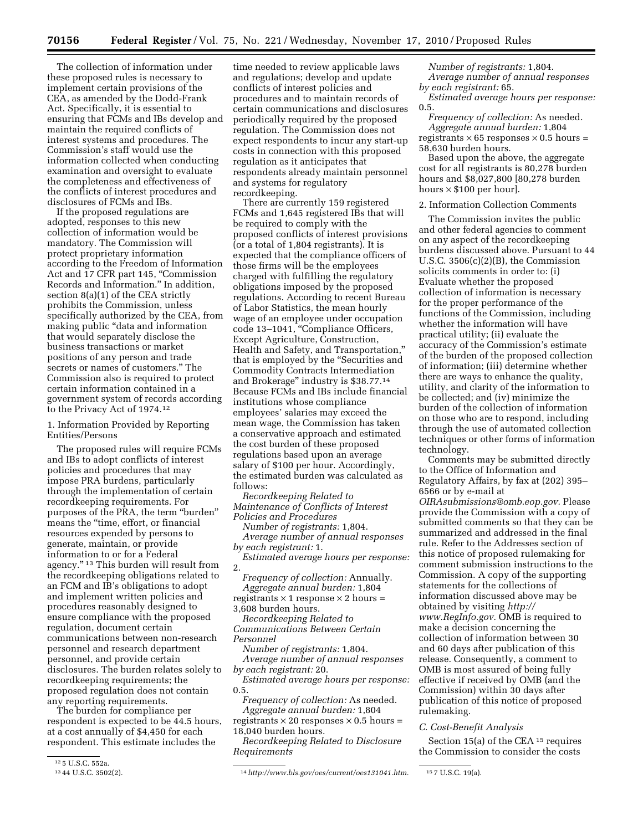The collection of information under these proposed rules is necessary to implement certain provisions of the CEA, as amended by the Dodd-Frank Act. Specifically, it is essential to ensuring that FCMs and IBs develop and maintain the required conflicts of interest systems and procedures. The Commission's staff would use the information collected when conducting examination and oversight to evaluate the completeness and effectiveness of the conflicts of interest procedures and disclosures of FCMs and IBs.

If the proposed regulations are adopted, responses to this new collection of information would be mandatory. The Commission will protect proprietary information according to the Freedom of Information Act and 17 CFR part 145, ''Commission Records and Information.'' In addition, section 8(a)(1) of the CEA strictly prohibits the Commission, unless specifically authorized by the CEA, from making public ''data and information that would separately disclose the business transactions or market positions of any person and trade secrets or names of customers.'' The Commission also is required to protect certain information contained in a government system of records according to the Privacy Act of 1974.12

## 1. Information Provided by Reporting Entities/Persons

The proposed rules will require FCMs and IBs to adopt conflicts of interest policies and procedures that may impose PRA burdens, particularly through the implementation of certain recordkeeping requirements. For purposes of the PRA, the term ''burden'' means the "time, effort, or financial resources expended by persons to generate, maintain, or provide information to or for a Federal agency.'' 13 This burden will result from the recordkeeping obligations related to an FCM and IB's obligations to adopt and implement written policies and procedures reasonably designed to ensure compliance with the proposed regulation, document certain communications between non-research personnel and research department personnel, and provide certain disclosures. The burden relates solely to recordkeeping requirements; the proposed regulation does not contain any reporting requirements.

The burden for compliance per respondent is expected to be 44.5 hours, at a cost annually of \$4,450 for each respondent. This estimate includes the

time needed to review applicable laws and regulations; develop and update conflicts of interest policies and procedures and to maintain records of certain communications and disclosures periodically required by the proposed regulation. The Commission does not expect respondents to incur any start-up costs in connection with this proposed regulation as it anticipates that respondents already maintain personnel and systems for regulatory recordkeeping.

There are currently 159 registered FCMs and 1,645 registered IBs that will be required to comply with the proposed conflicts of interest provisions (or a total of 1,804 registrants). It is expected that the compliance officers of those firms will be the employees charged with fulfilling the regulatory obligations imposed by the proposed regulations. According to recent Bureau of Labor Statistics, the mean hourly wage of an employee under occupation code 13–1041, ''Compliance Officers, Except Agriculture, Construction, Health and Safety, and Transportation,'' that is employed by the ''Securities and Commodity Contracts Intermediation and Brokerage'' industry is \$38.77.14 Because FCMs and IBs include financial institutions whose compliance employees' salaries may exceed the mean wage, the Commission has taken a conservative approach and estimated the cost burden of these proposed regulations based upon an average salary of \$100 per hour. Accordingly, the estimated burden was calculated as follows:

*Recordkeeping Related to Maintenance of Conflicts of Interest Policies and Procedures* 

*Number of registrants:* 1,804. *Average number of annual responses by each registrant:* 1.

*Estimated average hours per response:*  2.

*Frequency of collection:* Annually. *Aggregate annual burden:* 1,804 registrants  $\times$  1 response  $\times$  2 hours =

3,608 burden hours. *Recordkeeping Related to Communications Between Certain* 

*Personnel* 

*Number of registrants:* 1,804. *Average number of annual responses* 

*by each registrant:* 20. *Estimated average hours per response:*  0.5.

*Frequency of collection:* As needed.

*Aggregate annual burden:* 1,804 registrants  $\times$  20 responses  $\times$  0.5 hours = 18,040 burden hours.

*Recordkeeping Related to Disclosure Requirements* 

*Number of registrants:* 1,804. *Average number of annual responses by each registrant:* 65.

*Estimated average hours per response:*  0.5.

*Frequency of collection:* As needed. *Aggregate annual burden:* 1,804 registrants  $\times$  65 responses  $\times$  0.5 hours = 58,630 burden hours.

Based upon the above, the aggregate cost for all registrants is 80,278 burden hours and \$8,027,800 [80,278 burden hours  $\times$  \$100 per hour].

## 2. Information Collection Comments

The Commission invites the public and other federal agencies to comment on any aspect of the recordkeeping burdens discussed above. Pursuant to 44 U.S.C. 3506(c)(2)(B), the Commission solicits comments in order to: (i) Evaluate whether the proposed collection of information is necessary for the proper performance of the functions of the Commission, including whether the information will have practical utility; (ii) evaluate the accuracy of the Commission's estimate of the burden of the proposed collection of information; (iii) determine whether there are ways to enhance the quality, utility, and clarity of the information to be collected; and (iv) minimize the burden of the collection of information on those who are to respond, including through the use of automated collection techniques or other forms of information technology.

Comments may be submitted directly to the Office of Information and Regulatory Affairs, by fax at (202) 395– 6566 or by e-mail at

*[OIRAsubmissions@omb.eop.gov.](mailto:OIRAsubmissions@omb.eop.gov)* Please provide the Commission with a copy of submitted comments so that they can be summarized and addressed in the final rule. Refer to the Addresses section of this notice of proposed rulemaking for comment submission instructions to the Commission. A copy of the supporting statements for the collections of information discussed above may be obtained by visiting *[http://](http://www.RegInfo.gov)  [www.RegInfo.gov.](http://www.RegInfo.gov)* OMB is required to make a decision concerning the collection of information between 30 and 60 days after publication of this release. Consequently, a comment to OMB is most assured of being fully effective if received by OMB (and the Commission) within 30 days after publication of this notice of proposed rulemaking.

#### *C. Cost-Benefit Analysis*

Section 15(a) of the CEA <sup>15</sup> requires the Commission to consider the costs

<sup>12 5</sup> U.S.C. 552a.<br>13 44 U.S.C. 3502(2).

<sup>13</sup> 44 U.S.C. 3502(2). 14*[http://www.bls.gov/oes/current/oes131041.htm.](http://www.bls.gov/oes/current/oes131041.htm)* 15 7 U.S.C. 19(a).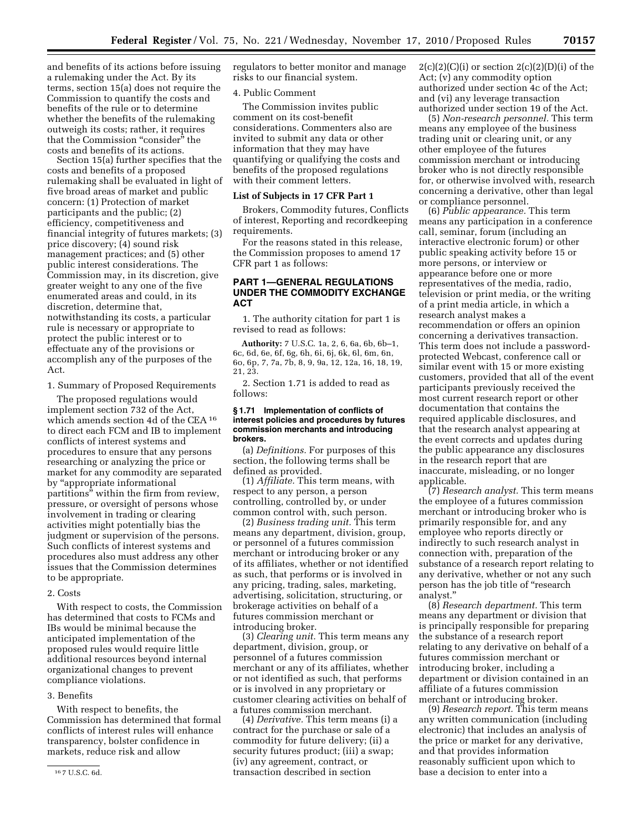and benefits of its actions before issuing a rulemaking under the Act. By its terms, section 15(a) does not require the Commission to quantify the costs and benefits of the rule or to determine whether the benefits of the rulemaking outweigh its costs; rather, it requires that the Commission "consider" the costs and benefits of its actions.

Section 15(a) further specifies that the costs and benefits of a proposed rulemaking shall be evaluated in light of five broad areas of market and public concern: (1) Protection of market participants and the public; (2) efficiency, competitiveness and financial integrity of futures markets; (3) price discovery; (4) sound risk management practices; and (5) other public interest considerations. The Commission may, in its discretion, give greater weight to any one of the five enumerated areas and could, in its discretion, determine that, notwithstanding its costs, a particular rule is necessary or appropriate to protect the public interest or to effectuate any of the provisions or accomplish any of the purposes of the Act.

1. Summary of Proposed Requirements

The proposed regulations would implement section 732 of the Act, which amends section 4d of the CEA 16 to direct each FCM and IB to implement conflicts of interest systems and procedures to ensure that any persons researching or analyzing the price or market for any commodity are separated by ''appropriate informational partitions'' within the firm from review, pressure, or oversight of persons whose involvement in trading or clearing activities might potentially bias the judgment or supervision of the persons. Such conflicts of interest systems and procedures also must address any other issues that the Commission determines to be appropriate.

#### 2. Costs

With respect to costs, the Commission has determined that costs to FCMs and IBs would be minimal because the anticipated implementation of the proposed rules would require little additional resources beyond internal organizational changes to prevent compliance violations.

## 3. Benefits

With respect to benefits, the Commission has determined that formal conflicts of interest rules will enhance transparency, bolster confidence in markets, reduce risk and allow

regulators to better monitor and manage risks to our financial system.

## 4. Public Comment

The Commission invites public comment on its cost-benefit considerations. Commenters also are invited to submit any data or other information that they may have quantifying or qualifying the costs and benefits of the proposed regulations with their comment letters.

#### **List of Subjects in 17 CFR Part 1**

Brokers, Commodity futures, Conflicts of interest, Reporting and recordkeeping requirements.

For the reasons stated in this release, the Commission proposes to amend 17 CFR part 1 as follows:

# **PART 1—GENERAL REGULATIONS UNDER THE COMMODITY EXCHANGE ACT**

1. The authority citation for part 1 is revised to read as follows:

**Authority:** 7 U.S.C. 1a, 2, 6, 6a, 6b, 6b–1, 6c, 6d, 6e, 6f, 6g, 6h, 6i, 6j, 6k, 6l, 6m, 6n, 6o, 6p, 7, 7a, 7b, 8, 9, 9a, 12, 12a, 16, 18, 19, 21, 23.

2. Section 1.71 is added to read as follows:

## **§ 1.71 Implementation of conflicts of interest policies and procedures by futures commission merchants and introducing brokers.**

(a) *Definitions.* For purposes of this section, the following terms shall be defined as provided.

(1) *Affiliate.* This term means, with respect to any person, a person controlling, controlled by, or under common control with, such person.

(2) *Business trading unit.* This term means any department, division, group, or personnel of a futures commission merchant or introducing broker or any of its affiliates, whether or not identified as such, that performs or is involved in any pricing, trading, sales, marketing, advertising, solicitation, structuring, or brokerage activities on behalf of a futures commission merchant or introducing broker.

(3) *Clearing unit.* This term means any department, division, group, or personnel of a futures commission merchant or any of its affiliates, whether or not identified as such, that performs or is involved in any proprietary or customer clearing activities on behalf of a futures commission merchant.

(4) *Derivative.* This term means (i) a contract for the purchase or sale of a commodity for future delivery; (ii) a security futures product; (iii) a swap; (iv) any agreement, contract, or transaction described in section

 $2(c)(2)(C)(i)$  or section  $2(c)(2)(D)(i)$  of the Act; (v) any commodity option authorized under section 4c of the Act; and (vi) any leverage transaction authorized under section 19 of the Act.

(5) *Non-research personnel.* This term means any employee of the business trading unit or clearing unit, or any other employee of the futures commission merchant or introducing broker who is not directly responsible for, or otherwise involved with, research concerning a derivative, other than legal or compliance personnel.

(6) *Public appearance.* This term means any participation in a conference call, seminar, forum (including an interactive electronic forum) or other public speaking activity before 15 or more persons, or interview or appearance before one or more representatives of the media, radio, television or print media, or the writing of a print media article, in which a research analyst makes a recommendation or offers an opinion concerning a derivatives transaction. This term does not include a passwordprotected Webcast, conference call or similar event with 15 or more existing customers, provided that all of the event participants previously received the most current research report or other documentation that contains the required applicable disclosures, and that the research analyst appearing at the event corrects and updates during the public appearance any disclosures in the research report that are inaccurate, misleading, or no longer applicable.

(7) *Research analyst.* This term means the employee of a futures commission merchant or introducing broker who is primarily responsible for, and any employee who reports directly or indirectly to such research analyst in connection with, preparation of the substance of a research report relating to any derivative, whether or not any such person has the job title of "research" analyst.''

(8) *Research department.* This term means any department or division that is principally responsible for preparing the substance of a research report relating to any derivative on behalf of a futures commission merchant or introducing broker, including a department or division contained in an affiliate of a futures commission merchant or introducing broker.

(9) *Research report.* This term means any written communication (including electronic) that includes an analysis of the price or market for any derivative, and that provides information reasonably sufficient upon which to base a decision to enter into a

<sup>16</sup> 7 U.S.C. 6d.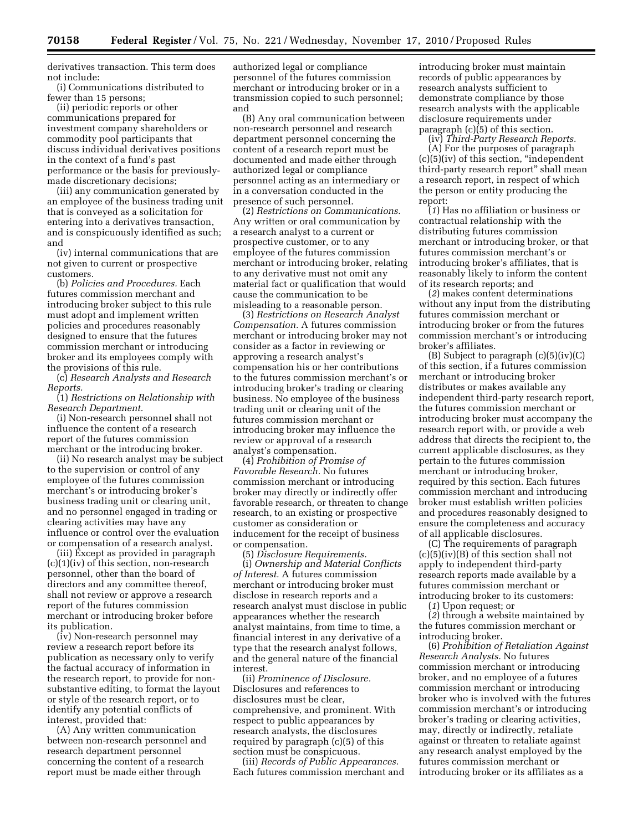derivatives transaction. This term does not include:

(i) Communications distributed to fewer than 15 persons;

(ii) periodic reports or other communications prepared for investment company shareholders or commodity pool participants that discuss individual derivatives positions in the context of a fund's past performance or the basis for previouslymade discretionary decisions;

(iii) any communication generated by an employee of the business trading unit that is conveyed as a solicitation for entering into a derivatives transaction, and is conspicuously identified as such; and

(iv) internal communications that are not given to current or prospective customers.

(b) *Policies and Procedures.* Each futures commission merchant and introducing broker subject to this rule must adopt and implement written policies and procedures reasonably designed to ensure that the futures commission merchant or introducing broker and its employees comply with the provisions of this rule.

(c) *Research Analysts and Research Reports.* 

(1) *Restrictions on Relationship with Research Department.* 

(i) Non-research personnel shall not influence the content of a research report of the futures commission merchant or the introducing broker.

(ii) No research analyst may be subject to the supervision or control of any employee of the futures commission merchant's or introducing broker's business trading unit or clearing unit, and no personnel engaged in trading or clearing activities may have any influence or control over the evaluation or compensation of a research analyst.

(iii) Except as provided in paragraph (c)(1)(iv) of this section, non-research personnel, other than the board of directors and any committee thereof, shall not review or approve a research report of the futures commission merchant or introducing broker before its publication.

(iv) Non-research personnel may review a research report before its publication as necessary only to verify the factual accuracy of information in the research report, to provide for nonsubstantive editing, to format the layout or style of the research report, or to identify any potential conflicts of interest, provided that:

(A) Any written communication between non-research personnel and research department personnel concerning the content of a research report must be made either through

authorized legal or compliance personnel of the futures commission merchant or introducing broker or in a transmission copied to such personnel; and

(B) Any oral communication between non-research personnel and research department personnel concerning the content of a research report must be documented and made either through authorized legal or compliance personnel acting as an intermediary or in a conversation conducted in the presence of such personnel.

(2) *Restrictions on Communications.*  Any written or oral communication by a research analyst to a current or prospective customer, or to any employee of the futures commission merchant or introducing broker, relating to any derivative must not omit any material fact or qualification that would cause the communication to be misleading to a reasonable person.

(3) *Restrictions on Research Analyst Compensation.* A futures commission merchant or introducing broker may not consider as a factor in reviewing or approving a research analyst's compensation his or her contributions to the futures commission merchant's or introducing broker's trading or clearing business. No employee of the business trading unit or clearing unit of the futures commission merchant or introducing broker may influence the review or approval of a research analyst's compensation.

(4) *Prohibition of Promise of Favorable Research.* No futures commission merchant or introducing broker may directly or indirectly offer favorable research, or threaten to change research, to an existing or prospective customer as consideration or inducement for the receipt of business or compensation.

(5) *Disclosure Requirements.*  (i) *Ownership and Material Conflicts of Interest.* A futures commission merchant or introducing broker must disclose in research reports and a research analyst must disclose in public appearances whether the research analyst maintains, from time to time, a financial interest in any derivative of a type that the research analyst follows, and the general nature of the financial interest.

(ii) *Prominence of Disclosure.*  Disclosures and references to disclosures must be clear, comprehensive, and prominent. With respect to public appearances by research analysts, the disclosures required by paragraph (c)(5) of this section must be conspicuous.

(iii) *Records of Public Appearances.*  Each futures commission merchant and introducing broker must maintain records of public appearances by research analysts sufficient to demonstrate compliance by those research analysts with the applicable disclosure requirements under paragraph (c)(5) of this section.

(iv) *Third-Party Research Reports.*  (A) For the purposes of paragraph (c)(5)(iv) of this section, ''independent third-party research report'' shall mean a research report, in respect of which the person or entity producing the report:

(*1*) Has no affiliation or business or contractual relationship with the distributing futures commission merchant or introducing broker, or that futures commission merchant's or introducing broker's affiliates, that is reasonably likely to inform the content of its research reports; and

(*2*) makes content determinations without any input from the distributing futures commission merchant or introducing broker or from the futures commission merchant's or introducing broker's affiliates.

(B) Subject to paragraph  $(c)(5)(iv)(C)$ of this section, if a futures commission merchant or introducing broker distributes or makes available any independent third-party research report, the futures commission merchant or introducing broker must accompany the research report with, or provide a web address that directs the recipient to, the current applicable disclosures, as they pertain to the futures commission merchant or introducing broker, required by this section. Each futures commission merchant and introducing broker must establish written policies and procedures reasonably designed to ensure the completeness and accuracy of all applicable disclosures.

(C) The requirements of paragraph (c)(5)(iv)(B) of this section shall not apply to independent third-party research reports made available by a futures commission merchant or introducing broker to its customers:

(*1*) Upon request; or

(*2*) through a website maintained by the futures commission merchant or introducing broker.

(6) *Prohibition of Retaliation Against Research Analysts.* No futures commission merchant or introducing broker, and no employee of a futures commission merchant or introducing broker who is involved with the futures commission merchant's or introducing broker's trading or clearing activities, may, directly or indirectly, retaliate against or threaten to retaliate against any research analyst employed by the futures commission merchant or introducing broker or its affiliates as a